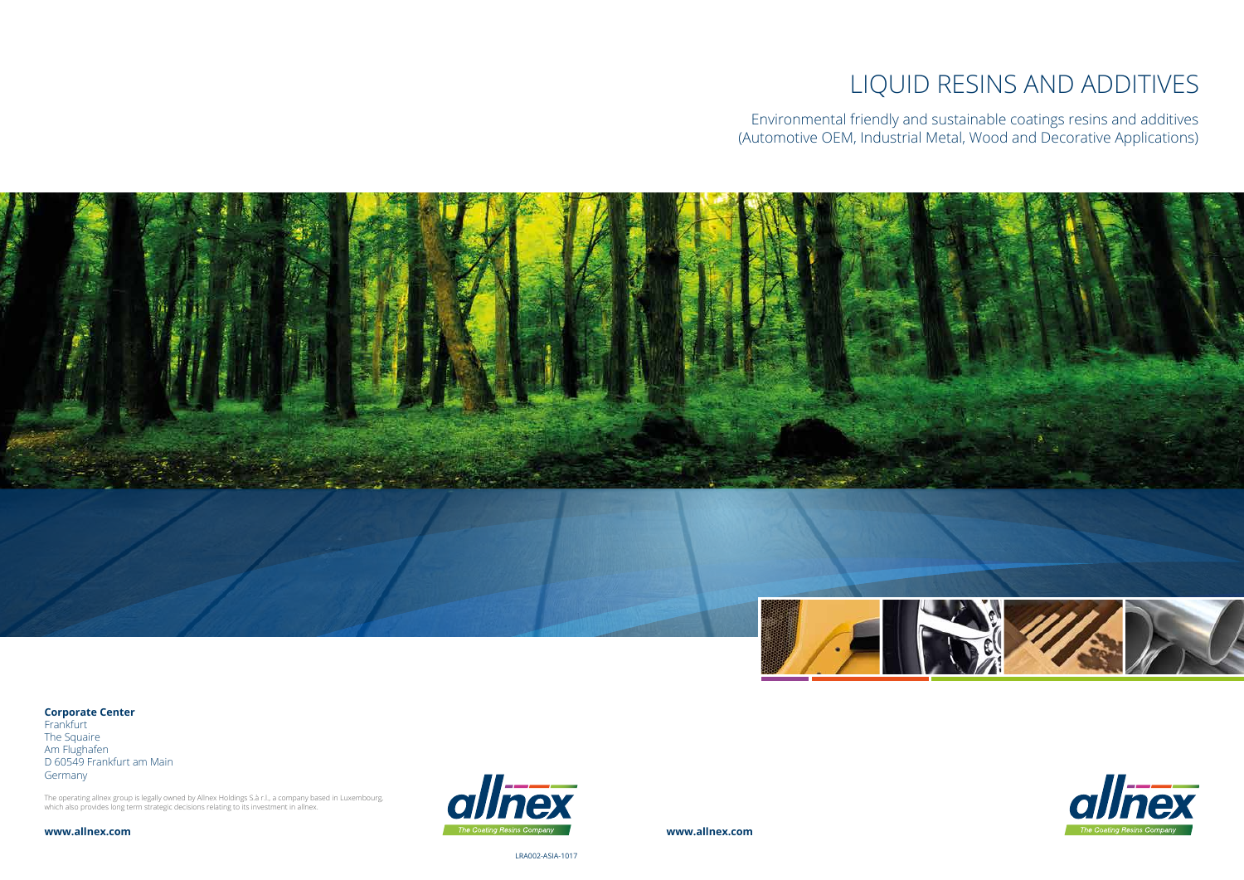# LIQUID RESINS AND ADDITIVES



Environmental friendly and sustainable coatings resins and additives (Automotive OEM, Industrial Metal, Wood and Decorative Applications)





**Frankfurt** The Squaire Am Flughafen D 60549 Frankfurt am Main Germany

**www.allnex.com**

LRA002-ASIA-1017

**Corporate Center**

The operating allnex group is legally owned by Allnex Holdings S.à r.l., a company based in Luxembourg, which also provides long term strategic decisions relating to its investment in allnex.

**www.allnex.com**

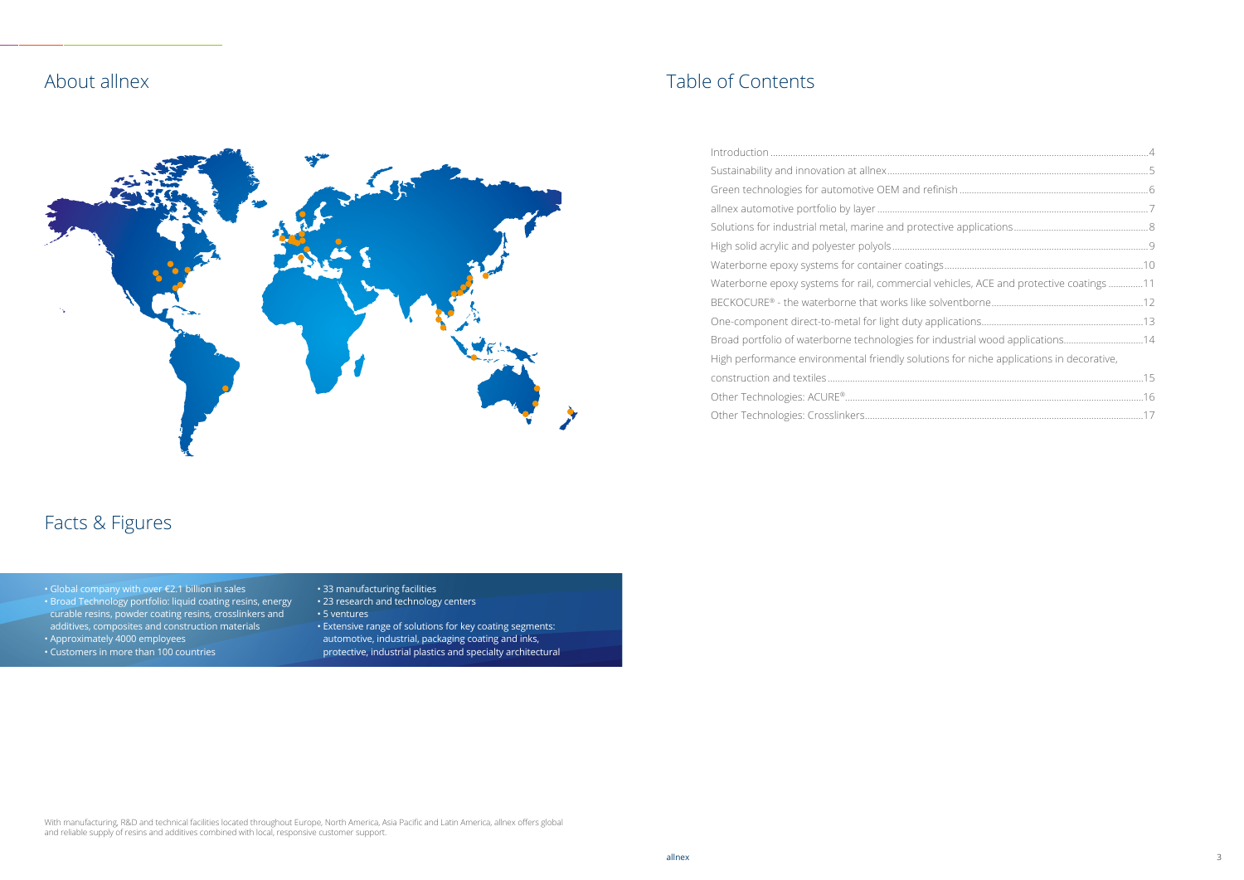| <u>.</u>                                 |  |
|------------------------------------------|--|
|                                          |  |
| ehicles, ACE and protective coatings 11  |  |
|                                          |  |
|                                          |  |
|                                          |  |
| ns for niche applications in decorative, |  |
|                                          |  |
|                                          |  |
|                                          |  |
|                                          |  |

# About allnex



# Facts & Figures

- Global company with over €2.1 billion in sales
- Broad Technology portfolio: liquid coating resins, energy curable resins, powder coating resins, crosslinkers and
- additives, composites and construction materials
- Approximately 4000 employees
- Customers in more than 100 countries
- 33 manufacturing facilities
- 23 research and technology centers
- 5 ventures
- Extensive range of solutions for key coating segments: automotive, industrial, packaging coating and inks, protective, industrial plastics and specialty architectural

# Table of Contents

| Waterborne epoxy systems for rail, commercial vehicles, ACE and protective coatings 11  |  |
|-----------------------------------------------------------------------------------------|--|
|                                                                                         |  |
|                                                                                         |  |
| Broad portfolio of waterborne technologies for industrial wood applications14           |  |
| High performance environmental friendly solutions for niche applications in decorative, |  |
|                                                                                         |  |
|                                                                                         |  |
|                                                                                         |  |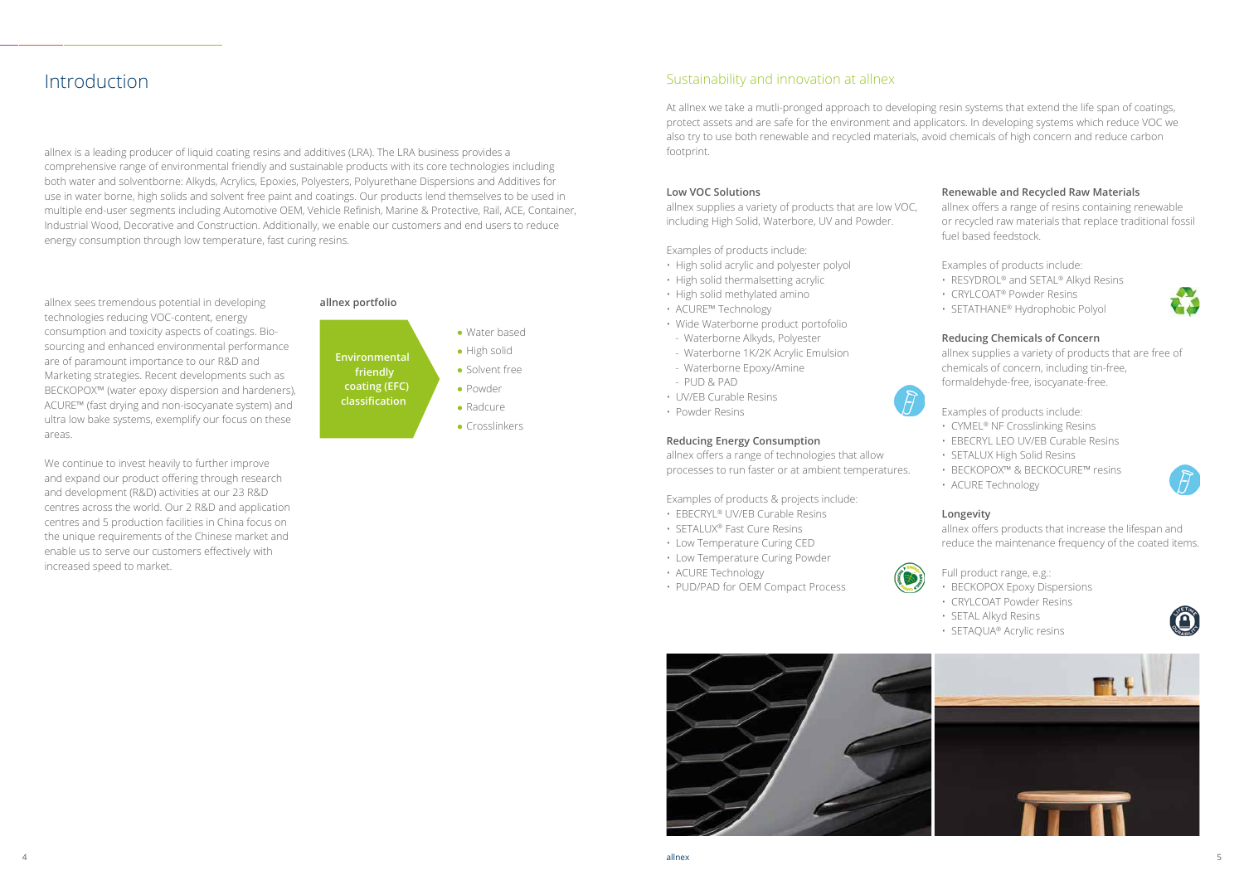## Introduction

allnex is a leading producer of liquid coating resins and additives (LRA). The LRA business provides a comprehensive range of environmental friendly and sustainable products with its core technologies including both water and solventborne: Alkyds, Acrylics, Epoxies, Polyesters, Polyurethane Dispersions and Additives for use in water borne, high solids and solvent free paint and coatings. Our products lend themselves to be used in multiple end-user segments including Automotive OEM, Vehicle Refinish, Marine & Protective, Rail, ACE, Container, Industrial Wood, Decorative and Construction. Additionally, we enable our customers and end users to reduce energy consumption through low temperature, fast curing resins.

> **Environmental friendly coating (EFC) classification**

- Water based
- High solid
- Solvent free
- Powder
- Radcure
- Crosslinkers

allnex sees tremendous potential in developing technologies reducing VOC-content, energy consumption and toxicity aspects of coatings. Biosourcing and enhanced environmental performance are of paramount importance to our R&D and Marketing strategies. Recent developments such as BECKOPOX™ (water epoxy dispersion and hardeners), ACURE™ (fast drying and non-isocyanate system) and ultra low bake systems, exemplify our focus on these areas.

- RESYDROL<sup>®</sup> and SETAL<sup>®</sup> Alkyd Resins
- CRYLCOAT® Powder Resins
- SETATHANE® Hydrophobic Polyol

We continue to invest heavily to further improve and expand our product offering through research and development (R&D) activities at our 23 R&D centres across the world. Our 2 R&D and application centres and 5 production facilities in China focus on the unique requirements of the Chinese market and enable us to serve our customers effectively with increased speed to market.

# **allnex portfolio**

#### **Low VOC Solutions**

allnex supplies a variety of products that are low VOC, including High Solid, Waterbore, UV and Powder.

Examples of products include:

- High solid acrylic and polyester polyol
- High solid thermalsetting acrylic
- High solid methylated amino
- ACURE™ Technology
- Wide Waterborne product portofolio
- Waterborne Alkyds, Polyester
- Waterborne 1K/2K Acrylic Emulsion
- Waterborne Epoxy/Amine
- PUD & PAD
- UV/EB Curable Resins
- Powder Resins

#### **Reducing Energy Consumption**

allnex offers a range of technologies that allow processes to run faster or at ambient temperatures.

Examples of products & projects include:

- EBECRYL® UV/EB Curable Resins
- SETALUX® Fast Cure Resins
- Low Temperature Curing CED
- Low Temperature Curing Powder

• ACURE Technology



• PUD/PAD for OEM Compact Process

#### **Renewable and Recycled Raw Materials**

allnex offers a range of resins containing renewable or recycled raw materials that replace traditional fossil fuel based feedstock.

Examples of products include:

#### **Reducing Chemicals of Concern**

allnex supplies a variety of products that are free of chemicals of concern, including tin-free, formaldehyde-free, isocyanate-free.

Examples of products include:

- CYMEL® NF Crosslinking Resins
- EBECRYL LEO UV/EB Curable Resins
- SETALUX High Solid Resins
- BECKOPOX™ & BECKOCURE™ resins
- ACURE Technology

#### **Longevity**

allnex offers products that increase the lifespan and reduce the maintenance frequency of the coated items.

Full product range, e.g.:

- BECKOPOX Epoxy Dispersions
- CRYLCOAT Powder Resins
- SETAL Alkyd Resins
- SETAQUA® Acrylic resins









## Sustainability and innovation at allnex

At allnex we take a mutli-pronged approach to developing resin systems that extend the life span of coatings, protect assets and are safe for the environment and applicators. In developing systems which reduce VOC we also try to use both renewable and recycled materials, avoid chemicals of high concern and reduce carbon footprint.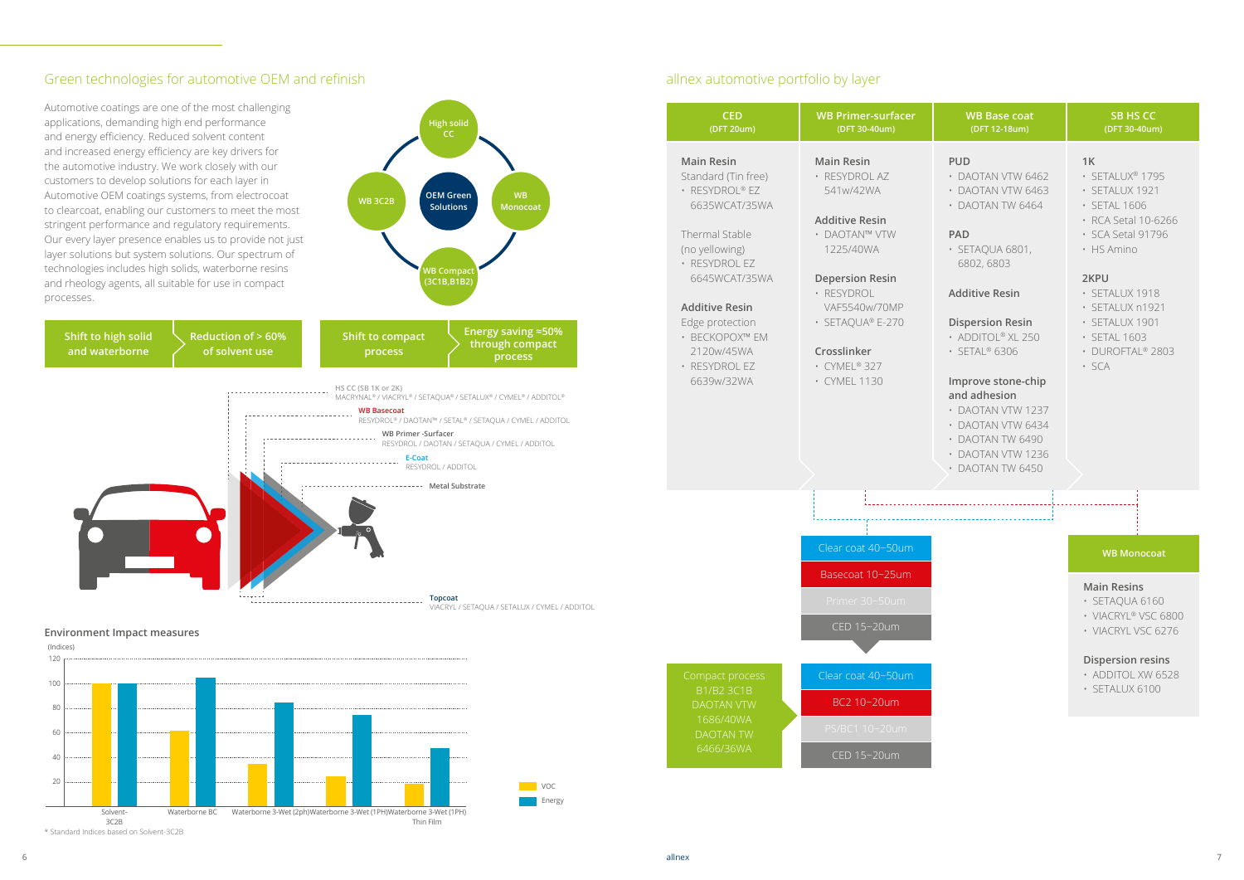**VOC Energy** 

#### Green technologies for automotive OEM and refinish



#### **Environment Impact measures**



#### **WB Monocoat**

#### **Main Resins**

- SETAQUA 6160
- VIACRYL® VSC 6800
- VIACRYL VSC 6276

#### **Dispersion resins**

- ADDITOL XW 6528
- SETALUX 6100

#### **1K**

- SETALUX® 1795
- SETALUX 1921
- SETAL 1606
- RCA Setal 10-6266
- SCA Setal 91796
- HS Amino

#### **2KPU**

- SETALUX 1918
- SETALUX n1921
- SETALUX 1901
- SETAL 1603
- DUROFTAL® 2803
- SCA

#### **PUD**

- DAOTAN VTW 6462
- DAOTAN VTW 6463
- DAOTAN TW 6464

#### **PAD**

• SETAQUA 6801, 6802, 6803

#### **Additive Resin**

#### **Dispersion Resin**

- ADDITOL® XL 250
- SETAL® 6306

#### **Improve stone-chip and adhesion**

- DAOTAN VTW 1237
- DAOTAN VTW 6434
- DAOTAN TW 6490
- DAOTAN VTW 1236
- DAOTAN TW 6450

#### allnex automotive portfolio by layer

| <b>CED</b><br>(DFT 20um)                                                                                                                                                                                                                                     | <b>WB Primer-surfacer</b><br>(DFT 30-40um)                                                                                                                                                                                         |
|--------------------------------------------------------------------------------------------------------------------------------------------------------------------------------------------------------------------------------------------------------------|------------------------------------------------------------------------------------------------------------------------------------------------------------------------------------------------------------------------------------|
| <b>Main Resin</b><br>Standard (Tin free)<br>· RESYDROL® EZ<br>6635WCAT/35WA<br>Thermal Stable<br>(no yellowing)<br>· RESYDROL EZ<br>6645WCAT/35WA<br><b>Additive Resin</b><br>Edge protection<br>• BECKOPOX™ EM<br>2120w/45WA<br>· RESYDROL EZ<br>6639w/32WA | <b>Main Resin</b><br>· RESYDROL AZ<br>541w/42WA<br><b>Additive Resin</b><br>• DAOTAN™ VTW<br>1225/40WA<br><b>Depersion Resin</b><br>· RESYDROL<br>VAF5540w/70MP<br>· SETAQUA® E-270<br>Crosslinker<br>• CYMEL® 327<br>· CYMEL 1130 |
|                                                                                                                                                                                                                                                              |                                                                                                                                                                                                                                    |
|                                                                                                                                                                                                                                                              | Clear coat 40~50um<br>Basecoat 10~25um<br>Primer 30~50um                                                                                                                                                                           |
| Compact process                                                                                                                                                                                                                                              | CED 15~20um<br>Clear coat 40~50um                                                                                                                                                                                                  |
| B1/B2 3C1B<br><b>DAOTAN VTW</b><br>1686/40WA<br><b>DAOTAN TW</b><br>6466/36WA                                                                                                                                                                                | BC2 10~20um<br>PS/BC1 10~20um<br>CED 15~20um                                                                                                                                                                                       |

#### **WB Base coat (DFT 12-18um)**

#### **SB HS CC (DFT 30-40um)**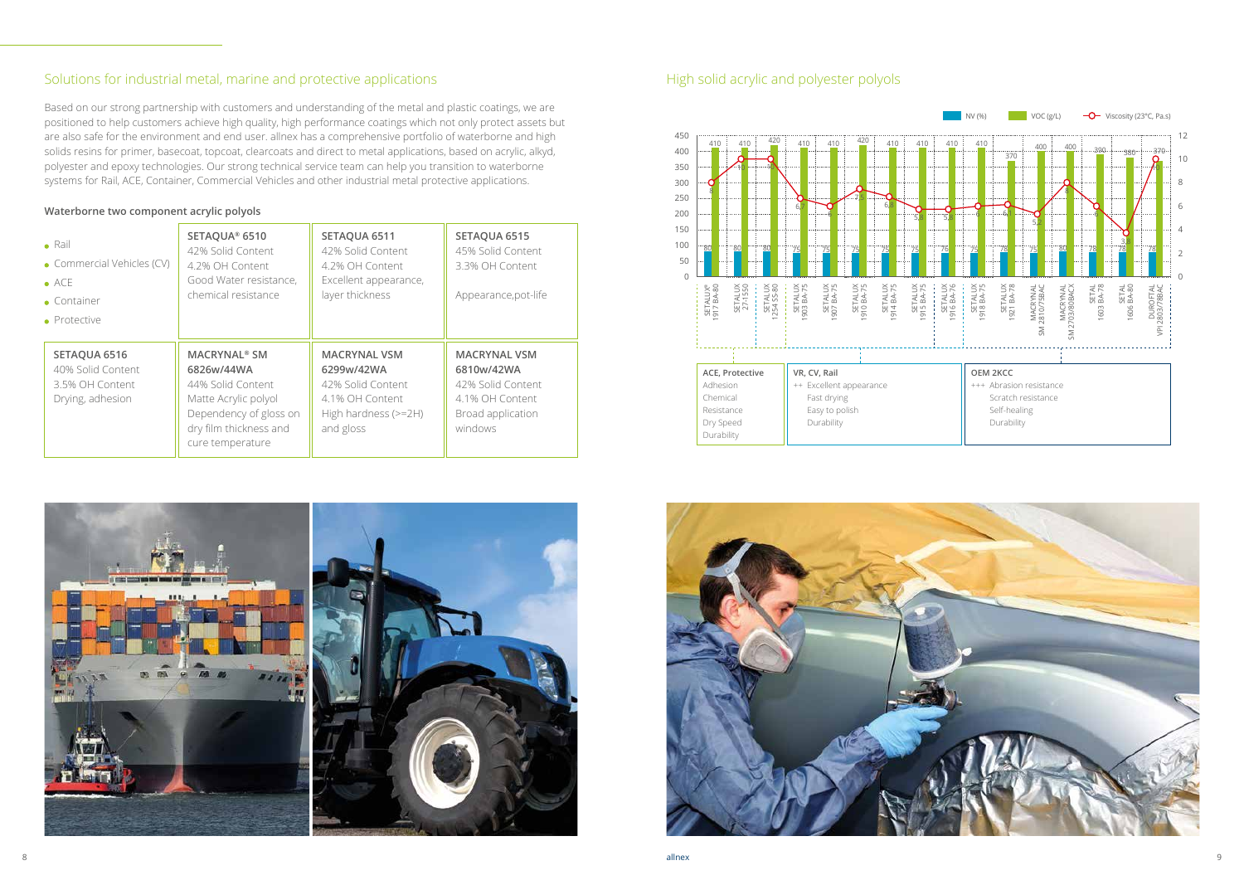#### Solutions for industrial metal, marine and protective applications

Based on our strong partnership with customers and understanding of the metal and plastic coatings, we are positioned to help customers achieve high quality, high performance coatings which not only protect assets but are also safe for the environment and end user. allnex has a comprehensive portfolio of waterborne and high solids resins for primer, basecoat, topcoat, clearcoats and direct to metal applications, based on acrylic, alkyd, polyester and epoxy technologies. Our strong technical service team can help you transition to waterborne systems for Rail, ACE, Container, Commercial Vehicles and other industrial metal protective applications.

| $\bullet$ Rail<br>• Commercial Vehicles (CV)<br>$\bullet$ ACE<br>$\bullet$ Container<br>• Protective | SETAQUA® 6510<br>42% Solid Content<br>4.2% OH Content<br>Good Water resistance,<br>chemical resistance                                                            | SETAQUA 6511<br>42% Solid Content<br>4.2% OH Content<br>Excellent appearance,<br>layer thickness                 | SETAQUA 6515<br>45% Solid Content<br>3.3% OH Content<br>Appearance, pot-life                              |
|------------------------------------------------------------------------------------------------------|-------------------------------------------------------------------------------------------------------------------------------------------------------------------|------------------------------------------------------------------------------------------------------------------|-----------------------------------------------------------------------------------------------------------|
| SETAQUA 6516<br>40% Solid Content<br>3.5% OH Content<br>Drying, adhesion                             | <b>MACRYNAL<sup>®</sup> SM</b><br>6826w/44WA<br>44% Solid Content<br>Matte Acrylic polyol<br>Dependency of gloss on<br>dry film thickness and<br>cure temperature | <b>MACRYNAL VSM</b><br>6299w/42WA<br>42% Solid Content<br>4.1% OH Content<br>High hardness $(>=2H)$<br>and gloss | <b>MACRYNAL VSM</b><br>6810w/42WA<br>42% Solid Content<br>4.1% OH Content<br>Broad application<br>windows |



## High solid acrylic and polyester polyols





#### **Waterborne two component acrylic polyols**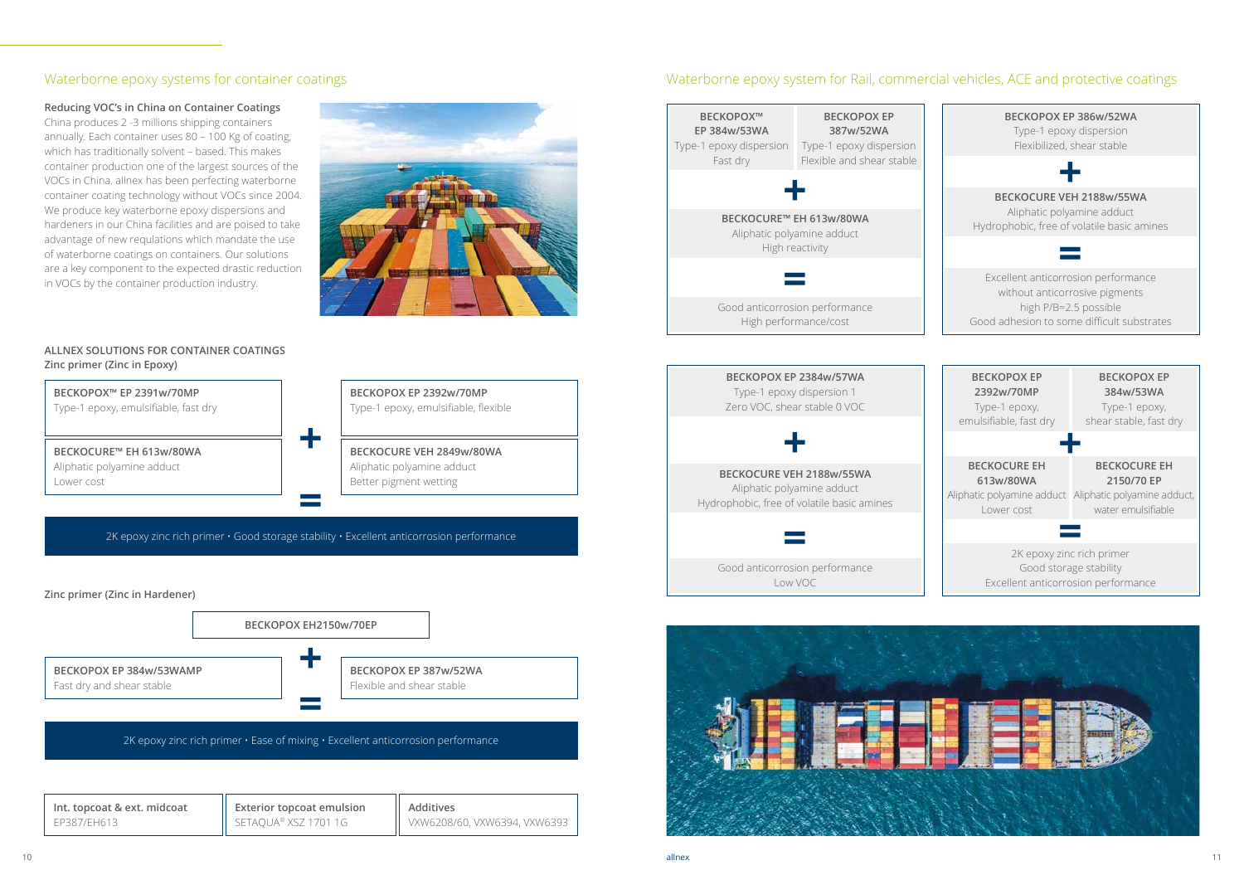### Waterborne epoxy systems for container coatings

**Reducing VOC's in China on Container Coatings**

China produces 2 -3 millions shipping containers annually. Each container uses 80 – 100 Kg of coating, which has traditionally solvent – based. This makes container production one of the largest sources of the VOCs in China. allnex has been perfecting waterborne container coating technology without VOCs since 2004. We produce key waterborne epoxy dispersions and hardeners in our China facilities and are poised to take advantage of new requlations which mandate the use of waterborne coatings on containers. Our solutions are a key component to the expected drastic reduction in VOCs by the container production industry.





#### **ALLNEX SOLUTIONS FOR CONTAINER COATINGS Zinc primer (Zinc in Epoxy)**



**BECKOPOX EP 387w/52WA** Flexible and shear stable

2K epoxy zinc rich primer  $\cdot$  Ease of mixing  $\cdot$  Excellent anticorrosion performance

**+**

**=**

| Int. topcoat & ext. midcoat | <b>Exterior topcoat emulsion</b> | $\parallel$ Additives        |
|-----------------------------|----------------------------------|------------------------------|
| EP387/EH613                 | $\parallel$ SETAQUA® XSZ 1701 1G | VXW6208/60, VXW6394, VXW6393 |

## Waterborne epoxy system for Rail, commercial vehicles, ACE and protective coatings







2K epoxy zinc rich primer **=** Good storage stability Excellent anticorrosion performance

Aliphatic polyamine adduct Aliphatic polyamine adduct, Lower cost

water emulsifiable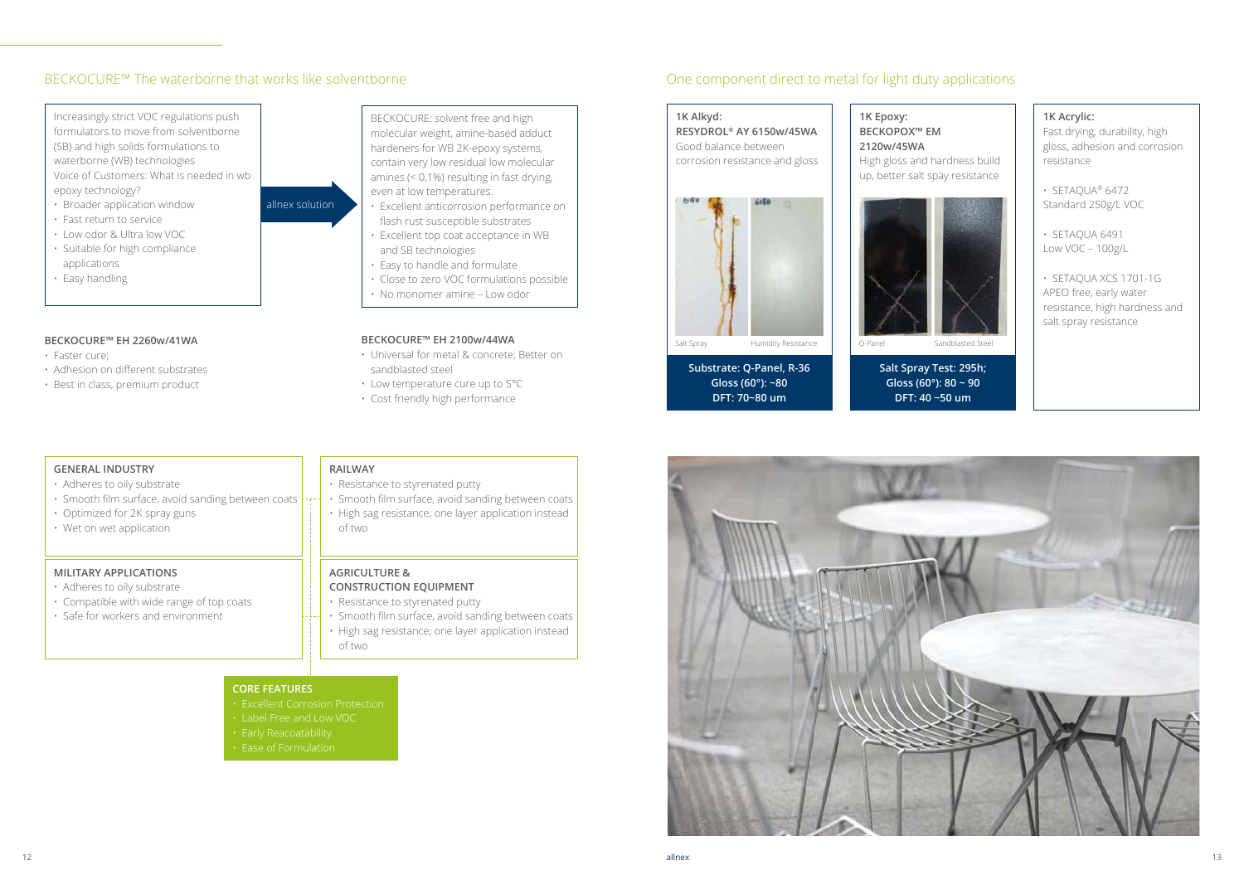#### BECKOCURE™ The waterborne that works like solventborne

Increasingly strict VOC regulations push formulators to move from solventborne (SB) and high solids formulations to waterborne (WB) technologies Voice of Customers: What is needed in wb epoxy technology?

- Broader application window
- Fast return to service
- Low odor & Ultra low VOC • Suitable for high compliance applications
- Easy handling

BECKOCURE: solvent free and high molecular weight, amine-based adduct hardeners for WB 2K-epoxy systems, contain very low residual low molecular amines (< 0,1%) resulting in fast drying, even at low temperatures.

- Excellent anticorrosion performance on flash rust susceptible substrates
- Excellent top coat acceptance in WB and SB technologies
- Easy to handle and formulate
- Close to zero VOC formulations possible
- No monomer amine Low odor

allnex solution

#### **BECKOCURE™ EH 2260w/41WA**

- Faster cure;
- Adhesion on different substrates
- Best in class, premium product

#### **BECKOCURE™ EH 2100w/44WA**

- Universal for metal & concrete; Better on sandblasted steel
- Low temperature cure up to 5°C
- Cost friendly high performance

#### **GENERAL INDUSTRY**

- Adheres to oily substrate
- Smooth film surface, avoid sanding between coats
- Optimized for 2K spray guns
- Wet on wet application

#### **RAILWAY**

- Resistance to styrenated putty
- Smooth film surface, avoid sanding between coats
- High sag resistance; one layer application instead of two

#### **MILITARY APPLICATIONS**

- Adheres to oily substrate
- Compatible with wide range of top coats
- Safe for workers and environment

#### **AGRICULTURE &**

#### **CONSTRUCTION EQUIPMENT**

• Resistance to styrenated putty

- Smooth film surface, avoid sanding between coats
- High sag resistance; one layer application instead of two

## One component direct to metal for light duty applications

#### **1K Alkyd:**

**RESYDROL® AY 6150w/45WA** Good balance between corrosion resistance and gloss





Salt Spray **Humidity Resistance CO-Panel Sandblasted Steel Steel Steel Steel Steel Steel Steel Steel Steel Steel** 

#### **1K Acrylic:**

Fast drying, durability, high gloss, adhesion and corrosion resistance

- SETAQUA® 6472 Standard 250g/L VOC
- SETAQUA 6491 Low VOC – 100g/L
- SETAQUA XCS 1701-1G APEO free, early water resistance, high hardness and salt spray resistance



**1K Epoxy:**

**BECKOPOX™ EM 2120w/45WA**

High gloss and hardness build up, better salt spay resistance

**Substrate: Q-Panel, R-36 Gloss (60°): ~80 DFT: 70~80 um**

**Salt Spray Test: 295h; Gloss (60°): 80 ~ 90**

# **DFT: 40 ~50 um**

#### **CORE FEATURES**

- Excellent Corrosion Protection
- Label Free and Low VOC
- 
-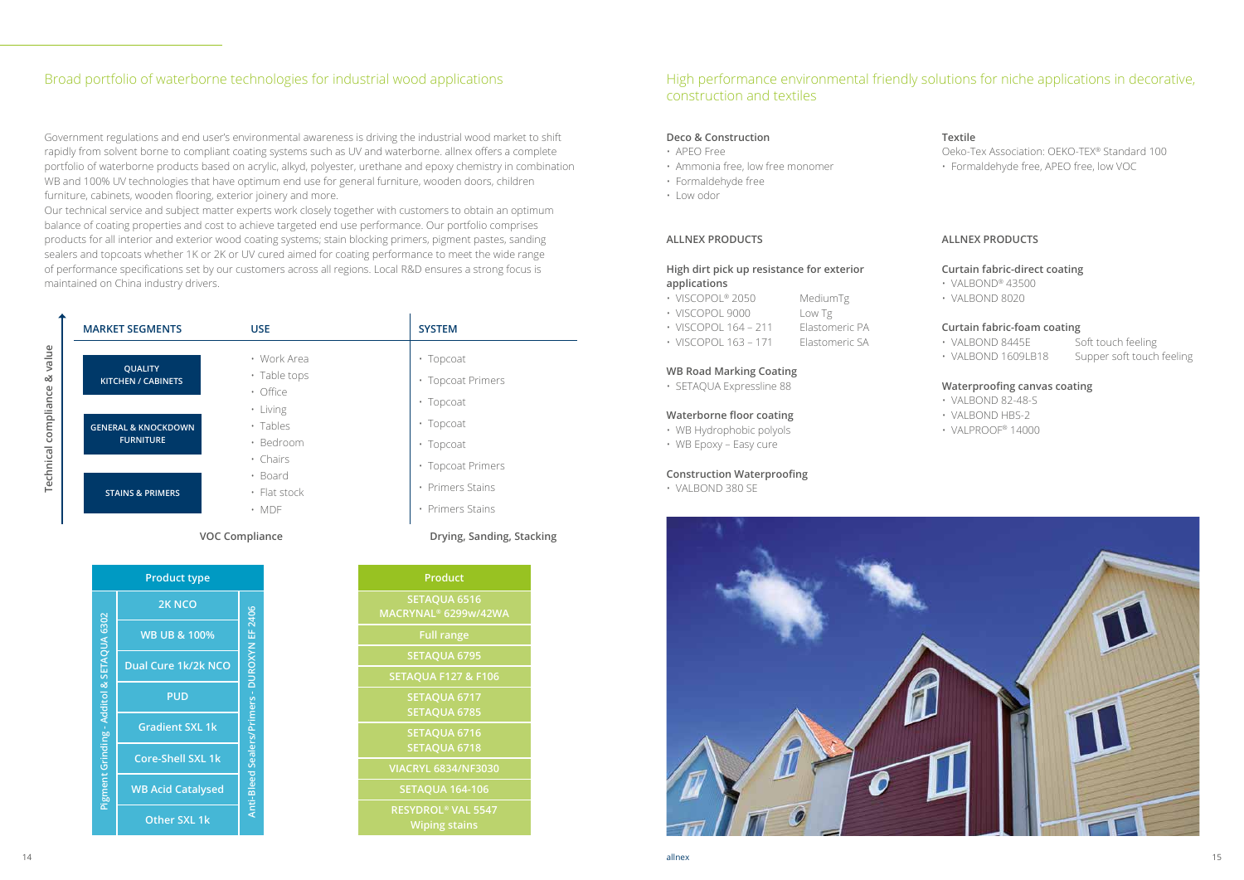#### Broad portfolio of waterborne technologies for industrial wood applications

Government regulations and end user's environmental awareness is driving the industrial wood market to shift rapidly from solvent borne to compliant coating systems such as UV and waterborne. allnex offers a complete portfolio of waterborne products based on acrylic, alkyd, polyester, urethane and epoxy chemistry in combination WB and 100% UV technologies that have optimum end use for general furniture, wooden doors, children furniture, cabinets, wooden flooring, exterior joinery and more.

Our technical service and subject matter experts work closely together with customers to obtain an optimum balance of coating properties and cost to achieve targeted end use performance. Our portfolio comprises products for all interior and exterior wood coating systems; stain blocking primers, pigment pastes, sanding sealers and topcoats whether 1K or 2K or UV cured aimed for coating performance to meet the wide range of performance specifications set by our customers across all regions. Local R&D ensures a strong focus is maintained on China industry drivers.

- VISCOPOL® 2050 MediumTg
- VISCOPOL 9000 Low Tg
- VISCOPOL 164 211 Elastomeric PA
- VISCOPOL 163 171 Elastomeric SA
- 

**Technical compliance & value**

Technical compliance & value

| <b>MARKET SEGMENTS</b>                      | <b>USE</b>                             | <b>SYSTEM</b>                        |
|---------------------------------------------|----------------------------------------|--------------------------------------|
| <b>QUALITY</b><br><b>KITCHEN / CABINETS</b> | • Work Area<br>· Table tops            | • Topcoat<br>• Topcoat Primers       |
| <b>GENERAL &amp; KNOCKDOWN</b>              | · Office<br>· Living<br>· Tables       | • Topcoat<br>• Topcoat               |
| <b>FURNITURE</b>                            | · Bedroom<br>• Chairs                  | • Topcoat<br>• Topcoat Primers       |
| <b>STAINS &amp; PRIMERS</b>                 | · Board<br>• Flat stock<br>$\cdot$ MDF | • Primers Stains<br>• Primers Stains |

|                                           | <b>Product type</b>      |                                   | <b>Product</b>                            |
|-------------------------------------------|--------------------------|-----------------------------------|-------------------------------------------|
|                                           | 2K NCO                   |                                   | <b>SETAQUA 6</b><br><b>MACRYNAL® 6299</b> |
|                                           | <b>WB UB &amp; 100%</b>  |                                   | <b>Full range</b>                         |
|                                           |                          |                                   | <b>SETAQUA 6</b>                          |
|                                           | Dual Cure 1k/2k NCO      |                                   | <b>SETAQUA F127</b>                       |
| Pigment Grinding - Additol & SETAQUA 6302 | <b>PUD</b>               | Sealers/Primers - DUROXYN EF 2406 | <b>SETAQUA 6</b><br><b>SETAQUA 6</b>      |
|                                           | <b>Gradient SXL 1k</b>   |                                   | <b>SETAQUA 6</b>                          |
|                                           | <b>Core-Shell SXL 1k</b> |                                   | <b>SETAQUA 6</b>                          |
|                                           |                          |                                   | <b>VIACRYL 6834/1</b>                     |
|                                           | <b>WB Acid Catalysed</b> | Anti-Bleed                        | <b>SETAQUA 164</b>                        |
|                                           | Other SXL 1k             |                                   | <b>RESYDROL® VA</b><br><b>Wiping sta</b>  |

| <b>SYSTEM</b>        |
|----------------------|
|                      |
| Topcoat<br>$\bullet$ |
| · Topcoat Primers    |
| • Topcoat            |
| • Topcoat            |
| · Topcoat            |
| · Topcoat Primers    |
| • Primers Stains     |
| • Primers Stains     |

#### **VOC Compliance Drying, Sanding, Stacking**

| <b>Product</b>                                               |
|--------------------------------------------------------------|
| <b>SETAQUA 6516</b><br>MACRYNAL® 6299w/42WA                  |
| <b>Full range</b>                                            |
| <b>SETAQUA 6795</b>                                          |
| <b>SETAQUA F127 &amp; F106</b>                               |
| SETAQUA 6717<br><b>SETAQUA 6785</b>                          |
| <b>SETAQUA 6716</b><br><b>SETAQUA 6718</b>                   |
| <b>VIACRYL 6834/NF3030</b>                                   |
| <b>SETAQUA 164-106</b>                                       |
| <b>RESYDROL<sup>®</sup> VAL 5547</b><br><b>Wiping stains</b> |

### High performance environmental friendly solutions for niche applications in decorative, construction and textiles

#### **Deco & Construction**

- APEO Free
- Ammonia free, low free monomer
- Formaldehyde free
- Low odor

#### **ALLNEX PRODUCTS**

#### **High dirt pick up resistance for exterior applications**

#### **WB Road Marking Coating**

• SETAQUA Expressline 88

#### **Waterborne floor coating**

- WB Hydrophobic polyols
- WB Epoxy Easy cure

#### **Construction Waterproofing**

• VALBOND 380 SE



#### **Textile**

Oeko-Tex Association: OEKO-TEX® Standard 100

• Formaldehyde free, APEO free, low VOC

#### **ALLNEX PRODUCTS**

#### **Curtain fabric-direct coating**

- VALBOND® 43500
- VALBOND 8020

#### **Curtain fabric-foam coating**

- VALBOND 8445E Soft touch feeling
- VALBOND 1609LB18 Supper soft touch feeling
- 

#### **Waterproofing canvas coating**

- VALBOND 82-48-S
- VALBOND HBS-2
- VALPROOF® 14000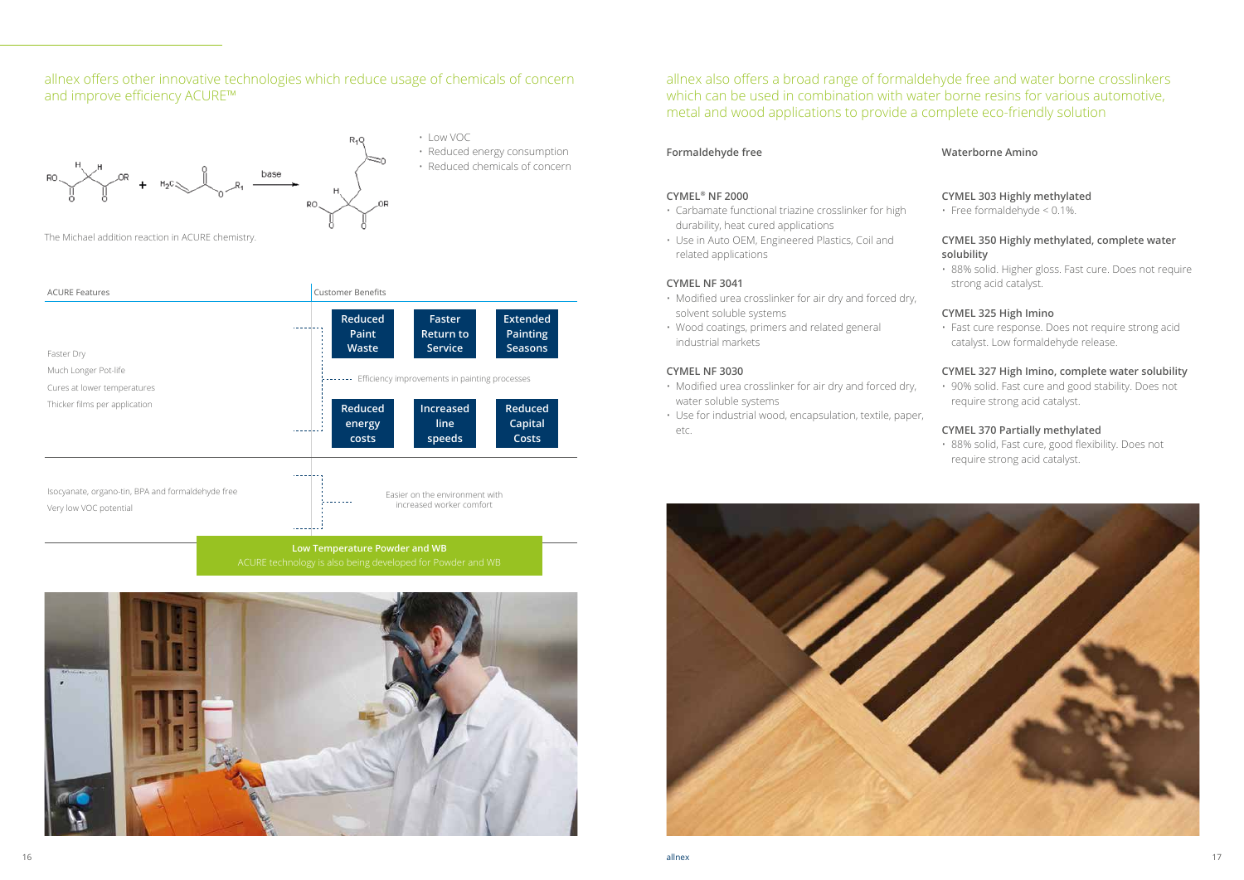#### allnex offers other innovative technologies which reduce usage of chemicals of concern and improve efficiency ACURE™



The Michael addition reaction in ACURE chemistry.



• Reduced chemicals of concern



**Low Temperature Powder and WB**



allnex also offers a broad range of formaldehyde free and water borne crosslinkers which can be used in combination with water borne resins for various automotive, metal and wood applications to provide a complete eco-friendly solution

#### **Formaldehyde free**

#### **CYMEL® NF 2000**

- Carbamate functional triazine crosslinker for high durability, heat cured applications
- Use in Auto OEM, Engineered Plastics, Coil and related applications

#### **CYMEL NF 3041**

- Modified urea crosslinker for air dry and forced dry, solvent soluble systems
- Wood coatings, primers and related general industrial markets

#### **CYMEL NF 3030**

- Modified urea crosslinker for air dry and forced dry, water soluble systems
- Use for industrial wood, encapsulation, textile, paper, etc.



#### **Waterborne Amino**

#### **CYMEL 303 Highly methylated**

• Free formaldehyde < 0.1%.

#### **CYMEL 350 Highly methylated, complete water solubility**

• 88% solid. Higher gloss. Fast cure. Does not require strong acid catalyst.

#### **CYMEL 325 High Imino**

• Fast cure response. Does not require strong acid catalyst. Low formaldehyde release.

#### **CYMEL 327 High Imino, complete water solubility**

• 90% solid. Fast cure and good stability. Does not require strong acid catalyst.

#### **CYMEL 370 Partially methylated**

• 88% solid, Fast cure, good flexibility. Does not require strong acid catalyst.